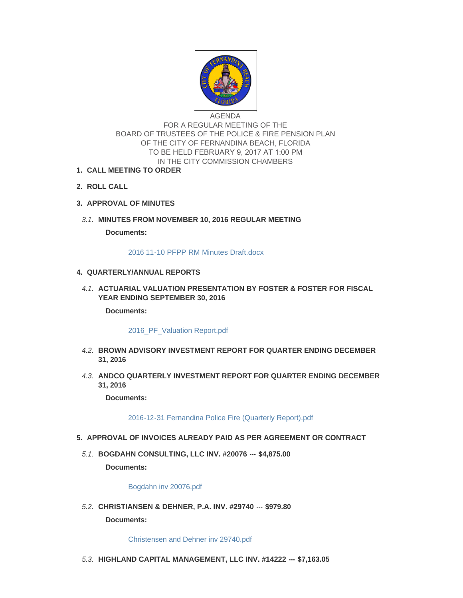

AGENDA FOR A REGULAR MEETING OF THE BOARD OF TRUSTEES OF THE POLICE & FIRE PENSION PLAN OF THE CITY OF FERNANDINA BEACH, FLORIDA TO BE HELD FEBRUARY 9, 2017 AT 1:00 PM IN THE CITY COMMISSION CHAMBERS

- **CALL MEETING TO ORDER 1.**
- **ROLL CALL 2.**
- **APPROVAL OF MINUTES 3.**
- **MINUTES FROM NOVEMBER 10, 2016 REGULAR MEETING** *3.1.*

**Documents:**

[2016 11-10 PFPP RM Minutes Draft.docx](http://www.fbfl.us/AgendaCenter/ViewFile/Item/7365?fileID=4951)

## **QUARTERLY/ANNUAL REPORTS 4.**

**A.1. ACTUARIAL VALUATION PRESENTATION BY FOSTER & FOSTER FOR FISCAL YEAR ENDING SEPTEMBER 30, 2016**

**Documents:**

## 2016 PF Valuation Report.pdf

- **BROWN ADVISORY INVESTMENT REPORT FOR QUARTER ENDING DECEMBER**  *4.2.* **31, 2016**
- **ANDCO QUARTERLY INVESTMENT REPORT FOR QUARTER ENDING DECEMBER**  *4.3.* **31, 2016**

**Documents:**

[2016-12-31 Fernandina Police Fire \(Quarterly Report\).pdf](http://www.fbfl.us/AgendaCenter/ViewFile/Item/7457?fileID=4985)

- **APPROVAL OF INVOICES ALREADY PAID AS PER AGREEMENT OR CONTRACT 5.**
- **BOGDAHN CONSULTING, LLC INV. #20076 --- \$4,875.00** *5.1.*

**Documents:**

[Bogdahn inv 20076.pdf](http://www.fbfl.us/AgendaCenter/ViewFile/Item/7367?fileID=4952)

**CHRISTIANSEN & DEHNER, P.A. INV. #29740 --- \$979.80** *5.2.*

**Documents:**

[Christensen and Dehner inv 29740.pdf](http://www.fbfl.us/AgendaCenter/ViewFile/Item/7368?fileID=4953)

**HIGHLAND CAPITAL MANAGEMENT, LLC INV. #14222 --- \$7,163.05** *5.3.*